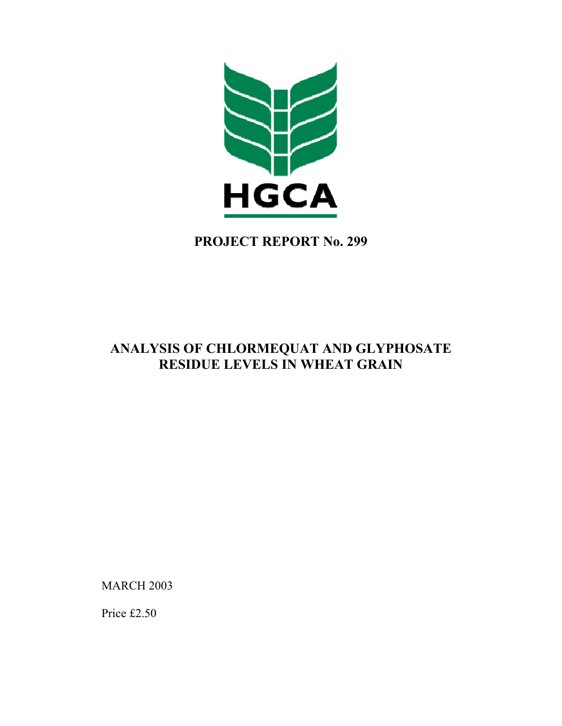

**PROJECT REPORT No. 299** 

# **ANALYSIS OF CHLORMEQUAT AND GLYPHOSATE RESIDUE LEVELS IN WHEAT GRAIN**

**MARCH 2003** 

Price £2.50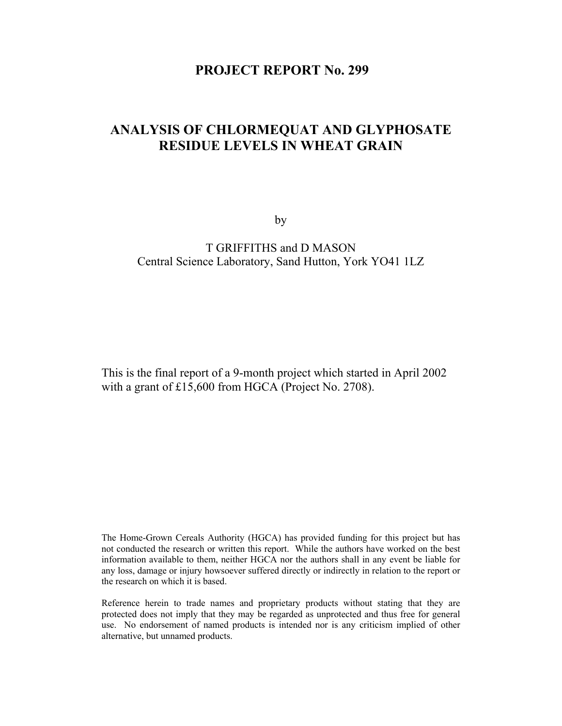### **PROJECT REPORT No. 299**

## **ANALYSIS OF CHLORMEQUAT AND GLYPHOSATE RESIDUE LEVELS IN WHEAT GRAIN**

by

### T GRIFFITHS and D MASON Central Science Laboratory, Sand Hutton, York YO41 1LZ

This is the final report of a 9-month project which started in April 2002 with a grant of £15,600 from HGCA (Project No. 2708).

The Home-Grown Cereals Authority (HGCA) has provided funding for this project but has not conducted the research or written this report. While the authors have worked on the best information available to them, neither HGCA nor the authors shall in any event be liable for any loss, damage or injury howsoever suffered directly or indirectly in relation to the report or the research on which it is based.

Reference herein to trade names and proprietary products without stating that they are protected does not imply that they may be regarded as unprotected and thus free for general use. No endorsement of named products is intended nor is any criticism implied of other alternative, but unnamed products.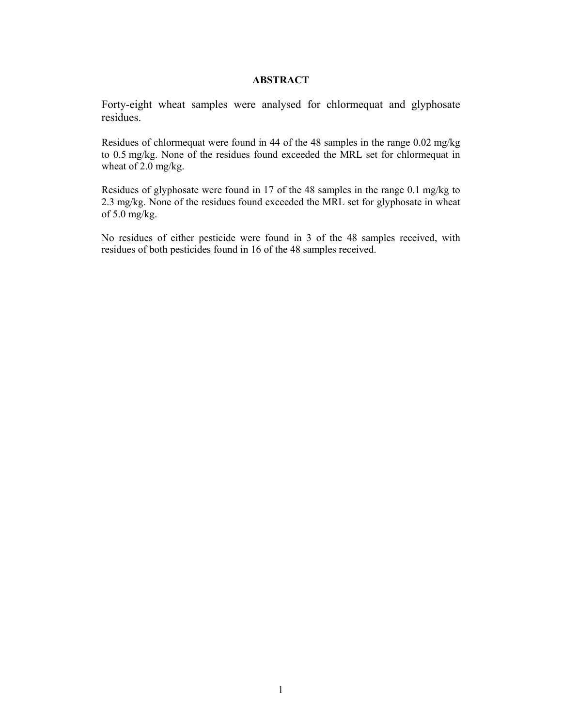#### **ABSTRACT**

Forty-eight wheat samples were analysed for chlormequat and glyphosate residues.

Residues of chlormequat were found in 44 of the 48 samples in the range 0.02 mg/kg to 0.5 mg/kg. None of the residues found exceeded the MRL set for chlormequat in wheat of 2.0 mg/kg.

Residues of glyphosate were found in 17 of the 48 samples in the range 0.1 mg/kg to 2.3 mg/kg. None of the residues found exceeded the MRL set for glyphosate in wheat of 5.0 mg/kg.

No residues of either pesticide were found in 3 of the 48 samples received, with residues of both pesticides found in 16 of the 48 samples received.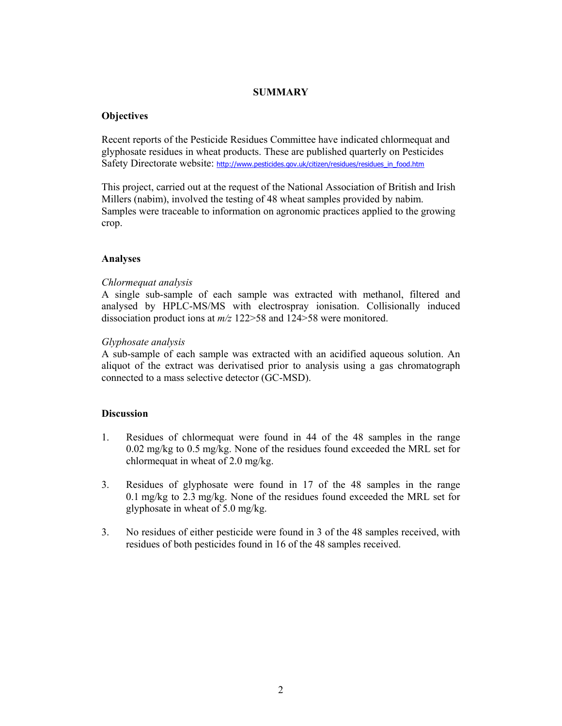#### **SUMMARY**

#### **Objectives**

Recent reports of the Pesticide Residues Committee have indicated chlormequat and glyphosate residues in wheat products. These are published quarterly on Pesticides Safety Directorate website: http://www.pesticides.gov.uk/citizen/residues/residues\_in\_food.htm

This project, carried out at the request of the National Association of British and Irish Millers (nabim), involved the testing of 48 wheat samples provided by nabim. Samples were traceable to information on agronomic practices applied to the growing crop.

#### **Analyses**

#### *Chlormequat analysis*

A single sub-sample of each sample was extracted with methanol, filtered and analysed by HPLC-MS/MS with electrospray ionisation. Collisionally induced dissociation product ions at *m/z* 122>58 and 124>58 were monitored.

#### *Glyphosate analysis*

A sub-sample of each sample was extracted with an acidified aqueous solution. An aliquot of the extract was derivatised prior to analysis using a gas chromatograph connected to a mass selective detector (GC-MSD).

#### **Discussion**

- 1. Residues of chlormequat were found in 44 of the 48 samples in the range 0.02 mg/kg to 0.5 mg/kg. None of the residues found exceeded the MRL set for chlormequat in wheat of 2.0 mg/kg.
- 3. Residues of glyphosate were found in 17 of the 48 samples in the range 0.1 mg/kg to 2.3 mg/kg. None of the residues found exceeded the MRL set for glyphosate in wheat of 5.0 mg/kg.
- 3. No residues of either pesticide were found in 3 of the 48 samples received, with residues of both pesticides found in 16 of the 48 samples received.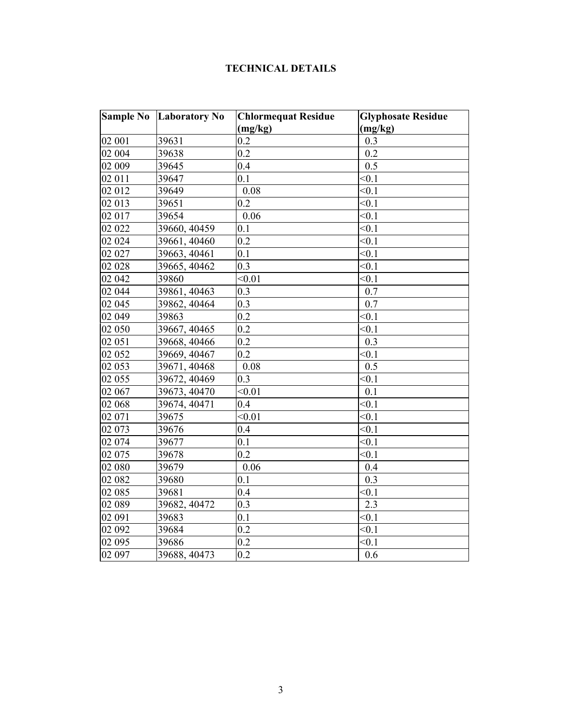### **TECHNICAL DETAILS**

| <b>Sample No</b> | <b>Laboratory No</b> | <b>Chlormequat Residue</b> | <b>Glyphosate Residue</b> |
|------------------|----------------------|----------------------------|---------------------------|
|                  |                      | (mg/kg)                    | (mg/kg)                   |
| 02 001           | 39631                | 0.2                        | 0.3                       |
| 02 004           | 39638                | 0.2                        | 0.2                       |
| 02 009           | 39645                | 0.4                        | 0.5                       |
| 02 011           | 39647                | 0.1                        | < 0.1                     |
| 02 012           | 39649                | 0.08                       | < 0.1                     |
| 02 013           | 39651                | 0.2                        | < 0.1                     |
| 02 017           | 39654                | 0.06                       | < 0.1                     |
| 02 022           | 39660, 40459         | 0.1                        | < 0.1                     |
| 02 024           | 39661, 40460         | 0.2                        | < 0.1                     |
| 02 027           | 39663, 40461         | 0.1                        | < 0.1                     |
| 02 028           | 39665, 40462         | 0.3                        | < 0.1                     |
| 02 042           | 39860                | < 0.01                     | < 0.1                     |
| 02 044           | 39861, 40463         | 0.3                        | 0.7                       |
| 02 045           | 39862, 40464         | 0.3                        | 0.7                       |
| 02 049           | 39863                | 0.2                        | < 0.1                     |
| 02 050           | 39667, 40465         | 0.2                        | < 0.1                     |
| 02 051           | 39668, 40466         | 0.2                        | 0.3                       |
| 02 052           | 39669, 40467         | 0.2                        | < 0.1                     |
| 02 053           | 39671, 40468         | 0.08                       | 0.5                       |
| 02 055           | 39672, 40469         | 0.3                        | < 0.1                     |
| 02 067           | 39673, 40470         | < 0.01                     | 0.1                       |
| 02 068           | 39674, 40471         | 0.4                        | < 0.1                     |
| 02 071           | 39675                | < 0.01                     | < 0.1                     |
| 02 073           | 39676                | 0.4                        | < 0.1                     |
| 02 074           | 39677                | 0.1                        | < 0.1                     |
| 02 075           | 39678                | 0.2                        | < 0.1                     |
| 02 080           | 39679                | 0.06                       | 0.4                       |
| 02 082           | 39680                | 0.1                        | 0.3                       |
| 02 085           | 39681                | 0.4                        | < 0.1                     |
| 02 089           | 39682, 40472         | 0.3                        | $\overline{2.3}$          |
| 02 091           | 39683                | 0.1                        | < 0.1                     |
| 02 092           | 39684                | 0.2                        | < 0.1                     |
| 02 095           | 39686                | 0.2                        | < 0.1                     |
| 02 097           | 39688, 40473         | $\overline{0.2}$           | 0.6                       |